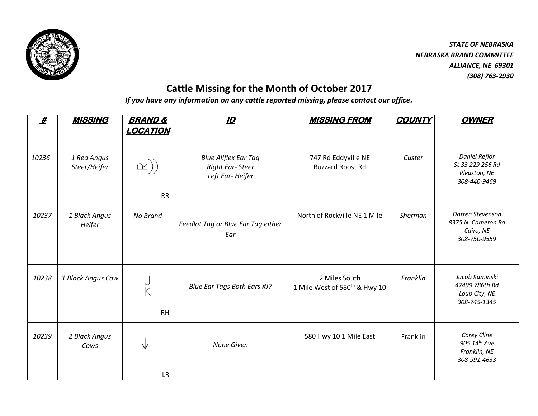

*STATE OF NEBRASKA NEBRASKA BRAND COMMITTEE ALLIANCE, NE 69301 (308) 763-2930*

## **Cattle Missing for the Month of October 2017**

*If you have any information on any cattle reported missing, please contact our office.*

| $\boldsymbol{\mathscr{H}}$ | <b>MISSING</b>              | <b>BRAND &amp;</b>      | $\mathbf{D}$                                                      | <b>MISSING FROM</b>                                        | <b>COUNTY</b> | <b>OWNER</b>                                                             |
|----------------------------|-----------------------------|-------------------------|-------------------------------------------------------------------|------------------------------------------------------------|---------------|--------------------------------------------------------------------------|
|                            |                             | <b>LOCATION</b>         |                                                                   |                                                            |               |                                                                          |
| 10236                      | 1 Red Angus<br>Steer/Heifer | $\alpha))$<br><b>RR</b> | <b>Blue Allflex Ear Tag</b><br>Right Ear-Steer<br>Left Ear-Heifer | 747 Rd Eddyville NE<br><b>Buzzard Roost Rd</b>             | Custer        | <b>Daniel Refior</b><br>St 33 229 256 Rd<br>Pleaston, NE<br>308-440-9469 |
| 10237                      | 1 Black Angus<br>Heifer     | No Brand                | Feedlot Tag or Blue Ear Tag either<br>Ear                         | North of Rockville NE 1 Mile                               | Sherman       | Darren Stevenson<br>8375 N. Cameron Rd<br>Cairo, NE<br>308-750-9559      |
| 10238                      | 1 Black Angus Cow           | K<br><b>RH</b>          | Blue Ear Tags Both Ears #J7                                       | 2 Miles South<br>1 Mile West of 580 <sup>th</sup> & Hwy 10 | Franklin      | Jacob Kaminski<br>47499 786th Rd<br>Loup City, NE<br>308-745-1345        |
| 10239                      | 2 Black Angus<br>Cows       |                         | None Given                                                        | 580 Hwy 10 1 Mile East                                     | Franklin      | Corey Cline<br>905 14th Ave<br>Franklin, NE<br>308-991-4633              |
|                            |                             | <b>LR</b>               |                                                                   |                                                            |               |                                                                          |